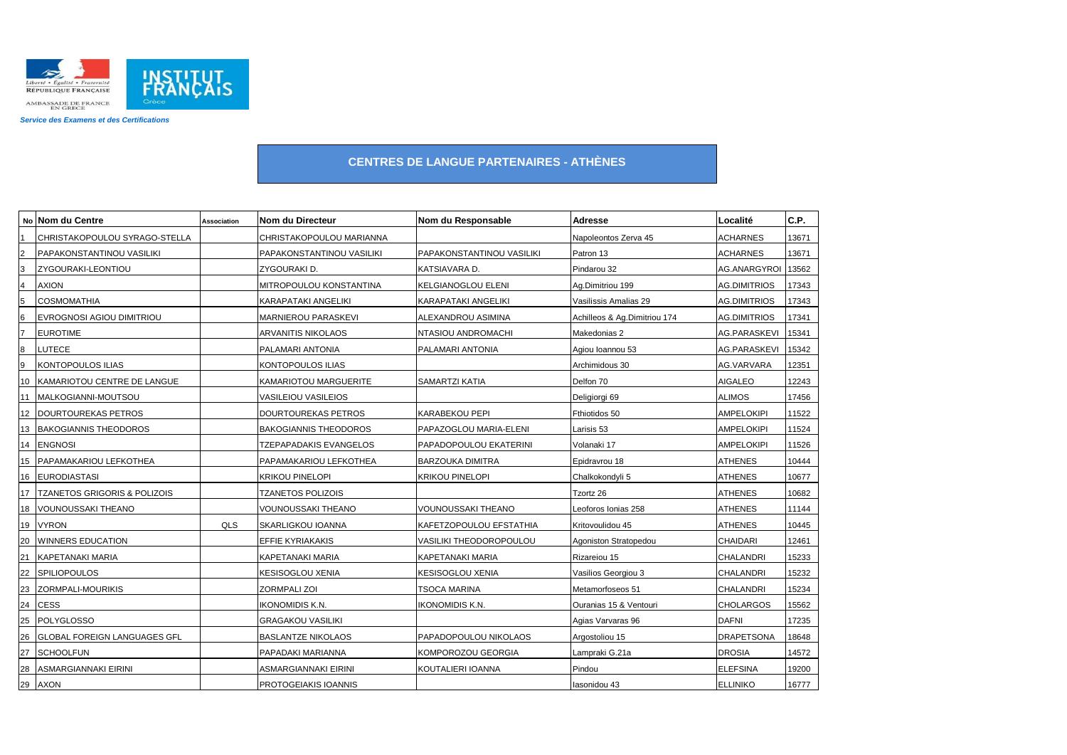

|                         | No Nom du Centre                        | Association | Nom du Directeur             | Nom du Responsable             | Adresse                      | Localité            | C.P.  |
|-------------------------|-----------------------------------------|-------------|------------------------------|--------------------------------|------------------------------|---------------------|-------|
|                         | CHRISTAKOPOULOU SYRAGO-STELLA           |             | CHRISTAKOPOULOU MARIANNA     |                                | Napoleontos Zerva 45         | <b>ACHARNES</b>     | 13671 |
| $\overline{c}$          | PAPAKONSTANTINOU VASILIKI               |             | PAPAKONSTANTINOU VASILIKI    | PAPAKONSTANTINOU VASILIKI      | Patron 13                    | <b>ACHARNES</b>     | 13671 |
| 3                       | ZYGOURAKI-LEONTIOU                      |             | ZYGOURAKI D.                 | KATSIAVARA D.                  | Pindarou 32                  | <b>AG.ANARGYROI</b> | 13562 |
| $\overline{\mathbf{r}}$ | AXION                                   |             | MITROPOULOU KONSTANTINA      | <b>KELGIANOGLOU ELENI</b>      | Ag.Dimitriou 199             | AG.DIMITRIOS        | 17343 |
| $\overline{5}$          | <b>COSMOMATHIA</b>                      |             | KARAPATAKI ANGELIKI          | KARAPATAKI ANGELIKI            | Vasilissis Amalias 29        | <b>AG.DIMITRIOS</b> | 17343 |
| $6\phantom{.}6$         | EVROGNOSI AGIOU DIMITRIOU               |             | <b>MARNIEROU PARASKEVI</b>   | ALEXANDROU ASIMINA             | Achilleos & Ag.Dimitriou 174 | AG.DIMITRIOS        | 17341 |
| $\overline{7}$          | <b>EUROTIME</b>                         |             | <b>ARVANITIS NIKOLAOS</b>    | NTASIOU ANDROMACHI             | Makedonias 2                 | <b>AG.PARASKEVI</b> | 15341 |
| $8\phantom{1}$          | <b>LUTECE</b>                           |             | PALAMARI ANTONIA             | PALAMARI ANTONIA               | Agiou Ioannou 53             | AG.PARASKEVI        | 15342 |
| $\boldsymbol{9}$        | <b>KONTOPOULOS ILIAS</b>                |             | KONTOPOULOS ILIAS            |                                | Archimidous 30               | AG.VARVARA          | 12351 |
| 10                      | KAMARIOTOU CENTRE DE LANGUE             |             | KAMARIOTOU MARGUERITE        | SAMARTZI KATIA                 | Delfon 70                    | <b>AIGALEO</b>      | 12243 |
| 11                      | MALKOGIANNI-MOUTSOU                     |             | VASILEIOU VASILEIOS          |                                | Deligiorgi 69                | <b>ALIMOS</b>       | 17456 |
|                         | 12 DOURTOUREKAS PETROS                  |             | DOURTOUREKAS PETROS          | KARABEKOU PEPI                 | Fthiotidos 50                | <b>AMPELOKIPI</b>   | 11522 |
| 13                      | <b>BAKOGIANNIS THEODOROS</b>            |             | <b>BAKOGIANNIS THEODOROS</b> | PAPAZOGLOU MARIA-ELENI         | Larisis 53                   | <b>AMPELOKIPI</b>   | 11524 |
|                         | 14 ENGNOSI                              |             | TZEPAPADAKIS EVANGELOS       | PAPADOPOULOU EKATERINI         | Volanaki 17                  | <b>AMPELOKIPI</b>   | 11526 |
|                         | 15 PAPAMAKARIOU LEFKOTHEA               |             | PAPAMAKARIOU LEFKOTHEA       | <b>BARZOUKA DIMITRA</b>        | Epidravrou 18                | <b>ATHENES</b>      | 10444 |
|                         | 16 EURODIASTASI                         |             | KRIKOU PINELOPI              | <b>KRIKOU PINELOPI</b>         | Chalkokondyli 5              | <b>ATHENES</b>      | 10677 |
| 17                      | <b>TZANETOS GRIGORIS &amp; POLIZOIS</b> |             | <b>TZANETOS POLIZOIS</b>     |                                | Tzortz 26                    | <b>ATHENES</b>      | 10682 |
| 18                      | <b>VOUNOUSSAKI THEANO</b>               |             | VOUNOUSSAKI THEANO           | VOUNOUSSAKI THEANO             | Leoforos Ionias 258          | <b>ATHENES</b>      | 11144 |
| 19                      | <b>VYRON</b>                            | QLS         | SKARLIGKOU IOANNA            | KAFETZOPOULOU EFSTATHIA        | Kritovoulidou 45             | <b>ATHENES</b>      | 10445 |
| 20                      | <b>WINNERS EDUCATION</b>                |             | <b>EFFIE KYRIAKAKIS</b>      | <b>VASILIKI THEODOROPOULOU</b> | Agoniston Stratopedou        | <b>CHAIDARI</b>     | 12461 |
| 21                      | <b>KAPETANAKI MARIA</b>                 |             | KAPETANAKI MARIA             | KAPETANAKI MARIA               | Rizareiou 15                 | CHALANDRI           | 15233 |
| 22                      | <b>SPILIOPOULOS</b>                     |             | KESISOGLOU XENIA             | KESISOGLOU XENIA               | Vasilios Georgiou 3          | CHALANDRI           | 15232 |
| 23                      | ZORMPALI-MOURIKIS                       |             | ZORMPALI ZOI                 | TSOCA MARINA                   | Metamorfoseos 51             | CHALANDRI           | 15234 |
| 24                      | <b>CESS</b>                             |             | ikonomidis K.N.              | <b>IKONOMIDIS K.N.</b>         | Ouranias 15 & Ventouri       | <b>CHOLARGOS</b>    | 15562 |
| 25                      | <b>POLYGLOSSO</b>                       |             | <b>GRAGAKOU VASILIKI</b>     |                                | Agias Varvaras 96            | <b>DAFNI</b>        | 17235 |
| 26                      | <b>GLOBAL FOREIGN LANGUAGES GFL</b>     |             | <b>BASLANTZE NIKOLAOS</b>    | PAPADOPOULOU NIKOLAOS          | Argostoliou 15               | <b>DRAPETSONA</b>   | 18648 |
| 27                      | <b>SCHOOLFUN</b>                        |             | PAPADAKI MARIANNA            | KOMPOROZOU GEORGIA             | Lampraki G.21a               | <b>DROSIA</b>       | 14572 |
| 28                      | ASMARGIANNAKI EIRINI                    |             | ASMARGIANNAKI EIRINI         | KOUTALIERI IOANNA              | Pindou                       | <b>ELEFSINA</b>     | 19200 |
|                         | 29 AXON                                 |             | PROTOGEIAKIS IOANNIS         |                                | Iasonidou 43                 | <b>ELLINIKO</b>     | 16777 |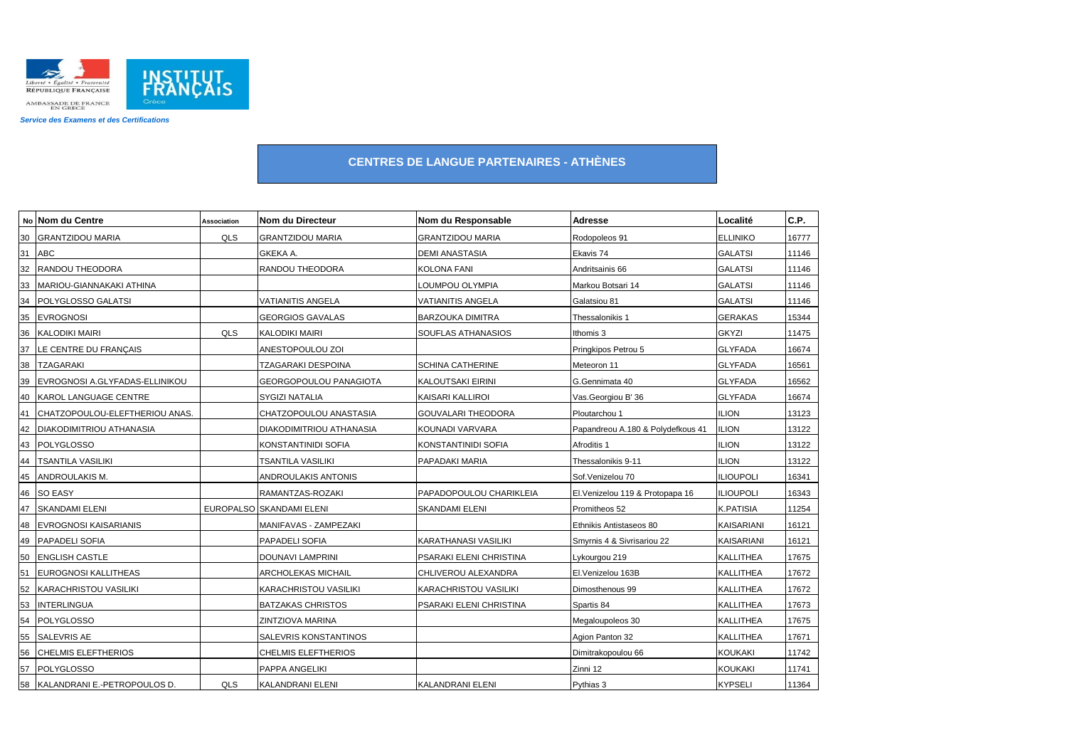

|    | No Nom du Centre                | Association | Nom du Directeur         | Nom du Responsable      | Adresse                           | Localité          | C.P.  |
|----|---------------------------------|-------------|--------------------------|-------------------------|-----------------------------------|-------------------|-------|
| 30 | <b>GRANTZIDOU MARIA</b>         | QLS         | <b>GRANTZIDOU MARIA</b>  | <b>GRANTZIDOU MARIA</b> | Rodopoleos 91                     | <b>ELLINIKO</b>   | 16777 |
|    | 31 ABC                          |             | GKEKA A.                 | DEMI ANASTASIA          | Ekavis 74                         | <b>GALATSI</b>    | 11146 |
| 32 | RANDOU THEODORA                 |             | RANDOU THEODORA          | <b>KOLONA FANI</b>      | Andritsainis 66                   | <b>GALATSI</b>    | 11146 |
| 33 | MARIOU-GIANNAKAKI ATHINA        |             |                          | LOUMPOU OLYMPIA         | Markou Botsari 14                 | <b>GALATSI</b>    | 11146 |
| 34 | POLYGLOSSO GALATSI              |             | <b>VATIANITIS ANGELA</b> | VATIANITIS ANGELA       | Galatsiou 81                      | <b>GALATSI</b>    | 11146 |
| 35 | <b>EVROGNOSI</b>                |             | <b>GEORGIOS GAVALAS</b>  | <b>BARZOUKA DIMITRA</b> | Thessalonikis 1                   | <b>GERAKAS</b>    | 15344 |
| 36 | <b>KALODIKI MAIRI</b>           | QLS         | KALODIKI MAIRI           | SOUFLAS ATHANASIOS      | Ithomis 3                         | <b>GKYZI</b>      | 11475 |
| 37 | LE CENTRE DU FRANÇAIS           |             | ANESTOPOULOU ZOI         |                         | Pringkipos Petrou 5               | <b>GLYFADA</b>    | 16674 |
| 38 | <b>TZAGARAKI</b>                |             | TZAGARAKI DESPOINA       | SCHINA CATHERINE        | Meteoron 11                       | <b>GLYFADA</b>    | 16561 |
| 39 | EVROGNOSI A.GLYFADAS-ELLINIKOU  |             | GEORGOPOULOU PANAGIOTA   | KALOUTSAKI EIRINI       | G.Gennimata 40                    | <b>GLYFADA</b>    | 16562 |
| 40 | KAROL LANGUAGE CENTRE           |             | SYGIZI NATALIA           | KAISARI KALLIROI        | Vas.Georgiou B' 36                | <b>GLYFADA</b>    | 16674 |
| 41 | CHATZOPOULOU-ELEFTHERIOU ANAS.  |             | CHATZOPOULOU ANASTASIA   | GOUVALARI THEODORA      | Ploutarchou 1                     | <b>ILION</b>      | 13123 |
| 42 | <b>DIAKODIMITRIOU ATHANASIA</b> |             | DIAKODIMITRIOU ATHANASIA | KOUNADI VARVARA         | Papandreou A.180 & Polydefkous 41 | ilion             | 13122 |
| 43 | <b>POLYGLOSSO</b>               |             | KONSTANTINIDI SOFIA      | KONSTANTINIDI SOFIA     | Afroditis 1                       | <b>ILION</b>      | 13122 |
| 44 | <b>TSANTILA VASILIKI</b>        |             | TSANTILA VASILIKI        | PAPADAKI MARIA          | Thessalonikis 9-11                | <b>ILION</b>      | 13122 |
| 45 | ANDROULAKIS M.                  |             | ANDROULAKIS ANTONIS      |                         | Sof.Venizelou 70                  | <b>ILIOUPOLI</b>  | 16341 |
| 46 | <b>SO EASY</b>                  |             | RAMANTZAS-ROZAKI         | PAPADOPOULOU CHARIKLEIA | El. Venizelou 119 & Protopapa 16  | <b>ILIOUPOLI</b>  | 16343 |
| 47 | <b>SKANDAMI ELENI</b>           |             | EUROPALSO SKANDAMI ELENI | SKANDAMI ELENI          | Promitheos 52                     | <b>K.PATISIA</b>  | 11254 |
| 48 | <b>EVROGNOSI KAISARIANIS</b>    |             | MANIFAVAS - ZAMPEZAKI    |                         | Ethnikis Antistaseos 80           | KAISARIANI        | 16121 |
|    | 49   PAPADELI SOFIA             |             | PAPADELI SOFIA           | KARATHANASI VASILIKI    | Smyrnis 4 & Sivrisariou 22        | <b>KAISARIANI</b> | 16121 |
| 50 | <b>ENGLISH CASTLE</b>           |             | DOUNAVI LAMPRINI         | PSARAKI ELENI CHRISTINA | Lykourgou 219                     | <b>KALLITHEA</b>  | 17675 |
| 51 | <b>EUROGNOSI KALLITHEAS</b>     |             | ARCHOLEKAS MICHAIL       | CHLIVEROU ALEXANDRA     | El.Venizelou 163B                 | <b>KALLITHEA</b>  | 17672 |
| 52 | <b>KARACHRISTOU VASILIKI</b>    |             | KARACHRISTOU VASILIKI    | KARACHRISTOU VASILIKI   | Dimosthenous 99                   | KALLITHEA         | 17672 |
| 53 | <b>INTERLINGUA</b>              |             | <b>BATZAKAS CHRISTOS</b> | PSARAKI ELENI CHRISTINA | Spartis 84                        | <b>KALLITHEA</b>  | 17673 |
| 54 | <b>POLYGLOSSO</b>               |             | ZINTZIOVA MARINA         |                         | Megaloupoleos 30                  | <b>KALLITHEA</b>  | 17675 |
| 55 | <b>SALEVRIS AE</b>              |             | SALEVRIS KONSTANTINOS    |                         | Agion Panton 32                   | <b>KALLITHEA</b>  | 17671 |
| 56 | <b>CHELMIS ELEFTHERIOS</b>      |             | CHELMIS ELEFTHERIOS      |                         | Dimitrakopoulou 66                | KOUKAKI           | 11742 |
| 57 | <b>POLYGLOSSO</b>               |             | PAPPA ANGELIKI           |                         | Zinni 12                          | <b>KOUKAKI</b>    | 11741 |
|    | 58 KALANDRANI E.-PETROPOULOS D. | QLS         | KALANDRANI ELENI         | KALANDRANI ELENI        | Pythias 3                         | <b>KYPSELI</b>    | 11364 |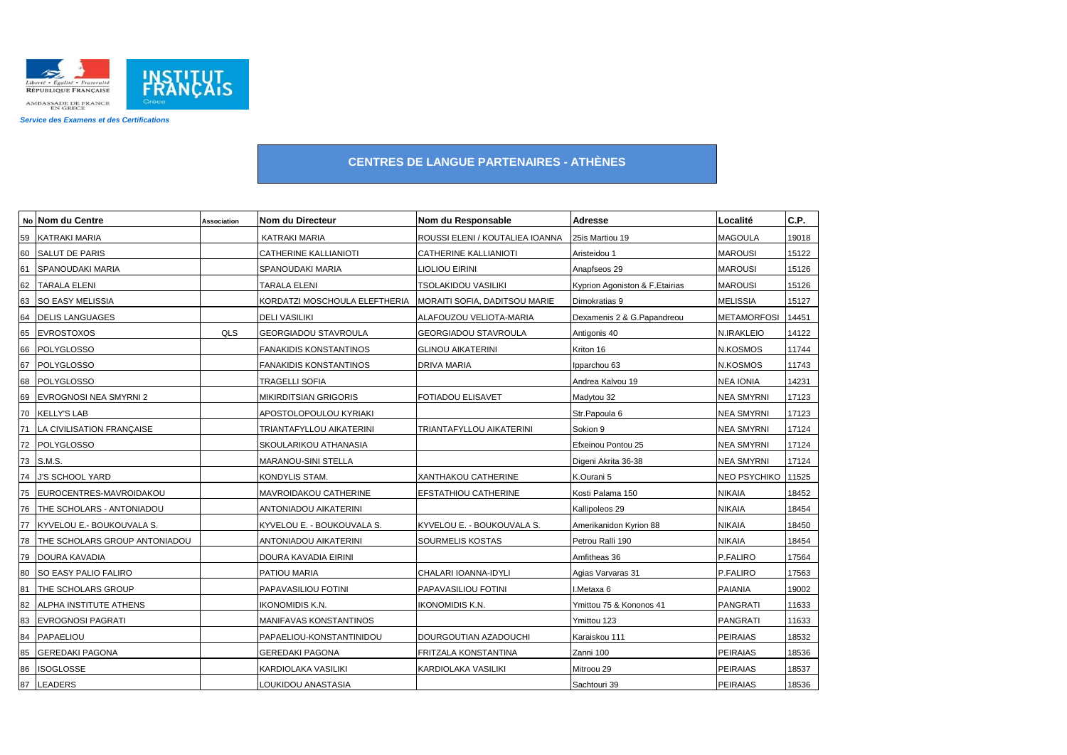

|    | No Nom du Centre               | <b>Association</b> | Nom du Directeur              | Nom du Responsable              | Adresse                        | Localité            | C.P.  |
|----|--------------------------------|--------------------|-------------------------------|---------------------------------|--------------------------------|---------------------|-------|
| 59 | <b>KATRAKI MARIA</b>           |                    | <b>KATRAKI MARIA</b>          | ROUSSI ELENI / KOUTALIEA IOANNA | 25is Martiou 19                | <b>MAGOULA</b>      | 19018 |
|    | 60 SALUT DE PARIS              |                    | CATHERINE KALLIANIOTI         | CATHERINE KALLIANIOTI           | Aristeidou 1                   | <b>MAROUSI</b>      | 15122 |
| 61 | SPANOUDAKI MARIA               |                    | SPANOUDAKI MARIA              | LIOLIOU EIRINI                  | Anapfseos 29                   | <b>MAROUSI</b>      | 15126 |
| 62 | <b>TARALA ELENI</b>            |                    | TARALA ELENI                  | <b>TSOLAKIDOU VASILIKI</b>      | Kyprion Agoniston & F.Etairias | <b>MAROUSI</b>      | 15126 |
| 63 | <b>SO EASY MELISSIA</b>        |                    | KORDATZI MOSCHOULA ELEFTHERIA | MORAITI SOFIA, DADITSOU MARIE   | Dimokratias 9                  | <b>MELISSIA</b>     | 15127 |
|    | 64 DELIS LANGUAGES             |                    | <b>DELI VASILIKI</b>          | ALAFOUZOU VELIOTA-MARIA         | Dexamenis 2 & G.Papandreou     | <b>METAMORFOSI</b>  | 14451 |
| 65 | <b>EVROSTOXOS</b>              | QLS                | GEORGIADOU STAVROULA          | GEORGIADOU STAVROULA            | Antigonis 40                   | N.IRAKLEIO          | 14122 |
|    | 66 POLYGLOSSO                  |                    | <b>FANAKIDIS KONSTANTINOS</b> | <b>GLINOU AIKATERINI</b>        | Kriton 16                      | <b>N.KOSMOS</b>     | 11744 |
| 67 | <b>POLYGLOSSO</b>              |                    | <b>FANAKIDIS KONSTANTINOS</b> | DRIVA MARIA                     | Ipparchou 63                   | N.KOSMOS            | 11743 |
|    | 68 POLYGLOSSO                  |                    | TRAGELLI SOFIA                |                                 | Andrea Kalvou 19               | <b>NEA IONIA</b>    | 14231 |
| 69 | <b>EVROGNOSI NEA SMYRNI 2</b>  |                    | MIKIRDITSIAN GRIGORIS         | FOTIADOU ELISAVET               | Madytou 32                     | <b>NEA SMYRNI</b>   | 17123 |
|    | 70 KELLY'S LAB                 |                    | APOSTOLOPOULOU KYRIAKI        |                                 | Str.Papoula 6                  | <b>NEA SMYRNI</b>   | 17123 |
|    | 71   LA CIVILISATION FRANCAISE |                    | TRIANTAFYLLOU AIKATERINI      | TRIANTAFYLLOU AIKATERINI        | Sokion 9                       | <b>NEA SMYRNI</b>   | 17124 |
|    | 72 POLYGLOSSO                  |                    | SKOULARIKOU ATHANASIA         |                                 | Efxeinou Pontou 25             | <b>NEA SMYRNI</b>   | 17124 |
|    | 73 S.M.S.                      |                    | MARANOU-SINI STELLA           |                                 | Digeni Akrita 36-38            | <b>NEA SMYRNI</b>   | 17124 |
|    | 74 J'S SCHOOL YARD             |                    | KONDYLIS STAM.                | XANTHAKOU CATHERINE             | K.Ourani 5                     | <b>NEO PSYCHIKO</b> | 11525 |
| 75 | EUROCENTRES-MAVROIDAKOU        |                    | MAVROIDAKOU CATHERINE         | EFSTATHIOU CATHERINE            | Kosti Palama 150               | <b>NIKAIA</b>       | 18452 |
|    | 76   THE SCHOLARS - ANTONIADOU |                    | ANTONIADOU AIKATERINI         |                                 | Kallipoleos 29                 | <b>NIKAIA</b>       | 18454 |
|    | 77 KYVELOU E.- BOUKOUVALA S.   |                    | KYVELOU E. - BOUKOUVALA S.    | KYVELOU E. - BOUKOUVALA S.      | Amerikanidon Kyrion 88         | <b>NIKAIA</b>       | 18450 |
| 78 | THE SCHOLARS GROUP ANTONIADOU  |                    | ANTONIADOU AIKATERINI         | SOURMELIS KOSTAS                | Petrou Ralli 190               | <b>NIKAIA</b>       | 18454 |
| 79 | DOURA KAVADIA                  |                    | DOURA KAVADIA EIRINI          |                                 | Amfitheas 36                   | P.FALIRO            | 17564 |
| 80 | SO EASY PALIO FALIRO           |                    | PATIOU MARIA                  | CHALARI IOANNA-IDYLI            | Agias Varvaras 31              | P.FALIRO            | 17563 |
| 81 | THE SCHOLARS GROUP             |                    | PAPAVASILIOU FOTINI           | PAPAVASILIOU FOTINI             | I.Metaxa 6                     | <b>PAIANIA</b>      | 19002 |
| 82 | ALPHA INSTITUTE ATHENS         |                    | ikonomidis K.N.               | IKONOMIDIS K.N.                 | Ymittou 75 & Kononos 41        | <b>PANGRATI</b>     | 11633 |
| 83 | <b>EVROGNOSI PAGRATI</b>       |                    | MANIFAVAS KONSTANTINOS        |                                 | Ymittou 123                    | <b>PANGRATI</b>     | 11633 |
| 84 | PAPAELIOU                      |                    | PAPAELIOU-KONSTANTINIDOU      | DOURGOUTIAN AZADOUCHI           | Karaiskou 111                  | <b>PEIRAIAS</b>     | 18532 |
| 85 | <b>GEREDAKI PAGONA</b>         |                    | GEREDAKI PAGONA               | FRITZALA KONSTANTINA            | Zanni 100                      | <b>PEIRAIAS</b>     | 18536 |
| 86 | <b>ISOGLOSSE</b>               |                    | KARDIOLAKA VASILIKI           | KARDIOLAKA VASILIKI             | Mitroou 29                     | <b>PEIRAIAS</b>     | 18537 |
|    | 87 LEADERS                     |                    | LOUKIDOU ANASTASIA            |                                 | Sachtouri 39                   | <b>PEIRAIAS</b>     | 18536 |